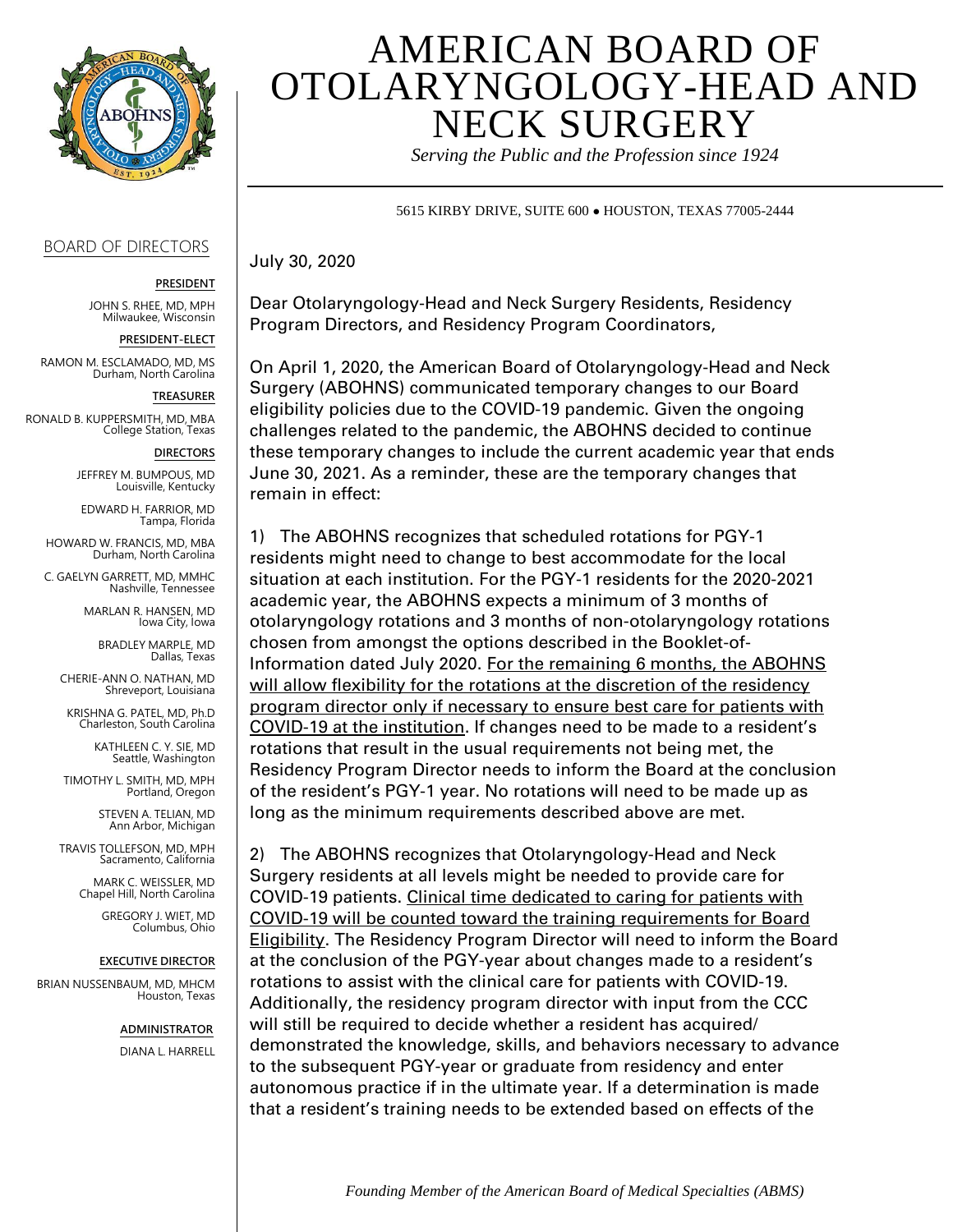

## BOARD OF DIRECTORS

**PRESIDENT**

JOHN S. RHEE, MD, MPH Milwaukee, Wisconsin

**PRESIDENT-ELECT**

RAMON M. ESCLAMADO, MD, MS Durham, North Carolina

**TREASURER**

RONALD B. KUPPERSMITH, MD, MBA College Station, Texas

## **DIRECTORS**

JEFFREY M. BUMPOUS, MD Louisville, Kentucky

EDWARD H. FARRIOR, MD Tampa, Florida

HOWARD W. FRANCIS, MD, MBA Durham, North Carolina

C. GAELYN GARRETT, MD, MMHC Nashville, Tennessee

> MARLAN R. HANSEN, MD Iowa City, Iowa

BRADLEY MARPLE, MD Dallas, Texas

CHERIE-ANN O. NATHAN, MD Shreveport, Louisiana

KRISHNA G. PATEL, MD, Ph.D Charleston, South Carolina

> KATHLEEN C. Y. SIE, MD Seattle, Washington

TIMOTHY L. SMITH, MD, MPH Portland, Oregon

> STEVEN A. TELIAN, MD Ann Arbor, Michigan

TRAVIS TOLLEFSON, MD, MPH Sacramento, California

> MARK C. WEISSLER, MD Chapel Hill, North Carolina

> > GREGORY J. WIET, MD Columbus, Ohio

## **EXECUTIVE DIRECTOR**

BRIAN NUSSENBAUM, MD, MHCM Houston, Texas

 **ADMINISTRATOR**

DIANA L. HARRELL

## AMERICAN BOARD OF OTOLARYNGOLOGY-HEAD AND NECK SURGERY

*Serving the Public and the Profession since 1924*

5615 KIRBY DRIVE, SUITE 600 ● HOUSTON, TEXAS 77005-2444

July 30, 2020

Dear Otolaryngology-Head and Neck Surgery Residents, Residency Program Directors, and Residency Program Coordinators,

On April 1, 2020, the American Board of Otolaryngology-Head and Neck Surgery (ABOHNS) communicated temporary changes to our Board eligibility policies due to the COVID-19 pandemic. Given the ongoing challenges related to the pandemic, the ABOHNS decided to continue these temporary changes to include the current academic year that ends June 30, 2021. As a reminder, these are the temporary changes that remain in effect:

1) The ABOHNS recognizes that scheduled rotations for PGY-1 residents might need to change to best accommodate for the local situation at each institution. For the PGY-1 residents for the 2020-2021 academic year, the ABOHNS expects a minimum of 3 months of otolaryngology rotations and 3 months of non-otolaryngology rotations chosen from amongst the options described in the Booklet-of-Information dated July 2020. For the remaining 6 months, the ABOHNS will allow flexibility for the rotations at the discretion of the residency program director only if necessary to ensure best care for patients with COVID-19 at the institution. If changes need to be made to a resident's rotations that result in the usual requirements not being met, the Residency Program Director needs to inform the Board at the conclusion of the resident's PGY-1 year. No rotations will need to be made up as long as the minimum requirements described above are met.

2) The ABOHNS recognizes that Otolaryngology-Head and Neck Surgery residents at all levels might be needed to provide care for COVID-19 patients. Clinical time dedicated to caring for patients with COVID-19 will be counted toward the training requirements for Board Eligibility. The Residency Program Director will need to inform the Board at the conclusion of the PGY-year about changes made to a resident's rotations to assist with the clinical care for patients with COVID-19. Additionally, the residency program director with input from the CCC will still be required to decide whether a resident has acquired/ demonstrated the knowledge, skills, and behaviors necessary to advance to the subsequent PGY-year or graduate from residency and enter autonomous practice if in the ultimate year. If a determination is made that a resident's training needs to be extended based on effects of the